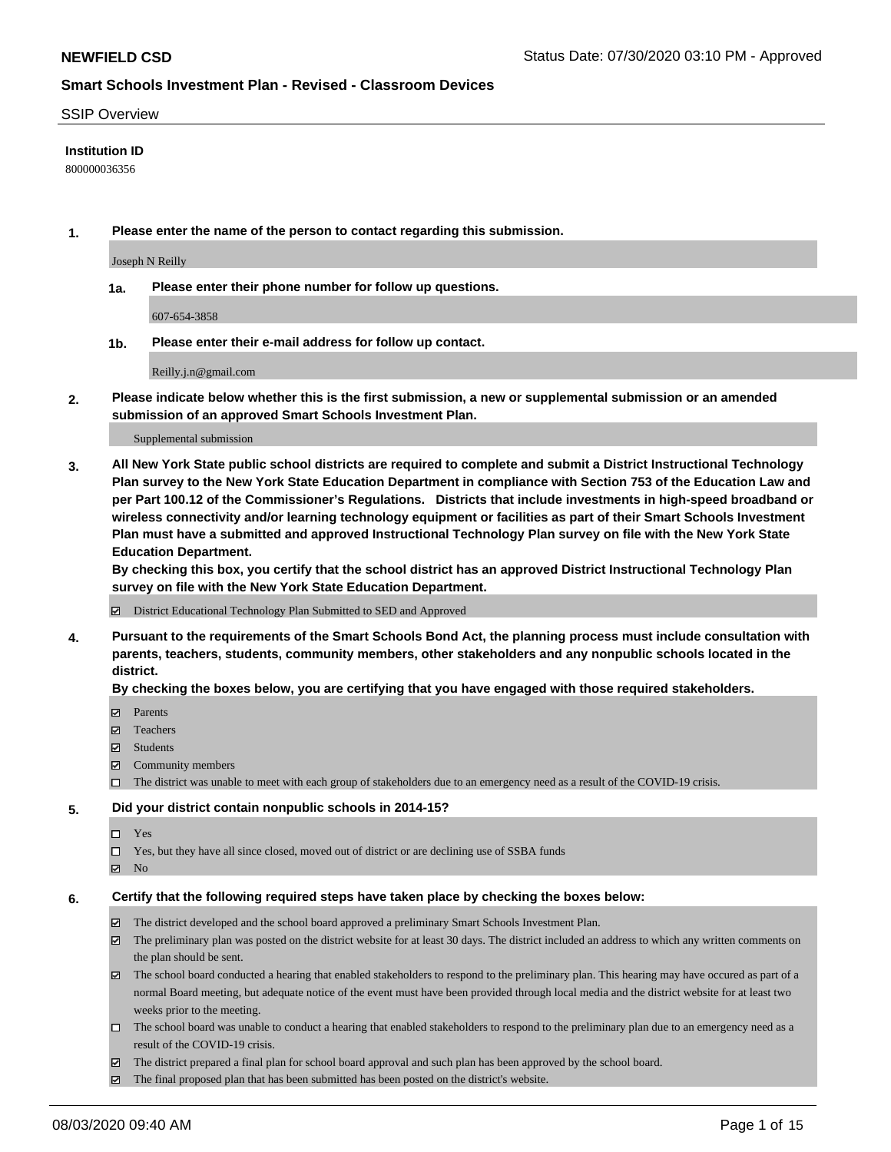#### SSIP Overview

### **Institution ID**

800000036356

**1. Please enter the name of the person to contact regarding this submission.**

Joseph N Reilly

**1a. Please enter their phone number for follow up questions.**

607-654-3858

**1b. Please enter their e-mail address for follow up contact.**

Reilly.j.n@gmail.com

**2. Please indicate below whether this is the first submission, a new or supplemental submission or an amended submission of an approved Smart Schools Investment Plan.**

#### Supplemental submission

**3. All New York State public school districts are required to complete and submit a District Instructional Technology Plan survey to the New York State Education Department in compliance with Section 753 of the Education Law and per Part 100.12 of the Commissioner's Regulations. Districts that include investments in high-speed broadband or wireless connectivity and/or learning technology equipment or facilities as part of their Smart Schools Investment Plan must have a submitted and approved Instructional Technology Plan survey on file with the New York State Education Department.** 

**By checking this box, you certify that the school district has an approved District Instructional Technology Plan survey on file with the New York State Education Department.**

District Educational Technology Plan Submitted to SED and Approved

**4. Pursuant to the requirements of the Smart Schools Bond Act, the planning process must include consultation with parents, teachers, students, community members, other stakeholders and any nonpublic schools located in the district.** 

#### **By checking the boxes below, you are certifying that you have engaged with those required stakeholders.**

- **□** Parents
- Teachers
- Students
- $\boxtimes$  Community members
- The district was unable to meet with each group of stakeholders due to an emergency need as a result of the COVID-19 crisis.

#### **5. Did your district contain nonpublic schools in 2014-15?**

- $\neg$  Yes
- Yes, but they have all since closed, moved out of district or are declining use of SSBA funds
- **Z** No

#### **6. Certify that the following required steps have taken place by checking the boxes below:**

- The district developed and the school board approved a preliminary Smart Schools Investment Plan.
- $\boxtimes$  The preliminary plan was posted on the district website for at least 30 days. The district included an address to which any written comments on the plan should be sent.
- The school board conducted a hearing that enabled stakeholders to respond to the preliminary plan. This hearing may have occured as part of a normal Board meeting, but adequate notice of the event must have been provided through local media and the district website for at least two weeks prior to the meeting.
- The school board was unable to conduct a hearing that enabled stakeholders to respond to the preliminary plan due to an emergency need as a result of the COVID-19 crisis.
- The district prepared a final plan for school board approval and such plan has been approved by the school board.
- $\boxtimes$  The final proposed plan that has been submitted has been posted on the district's website.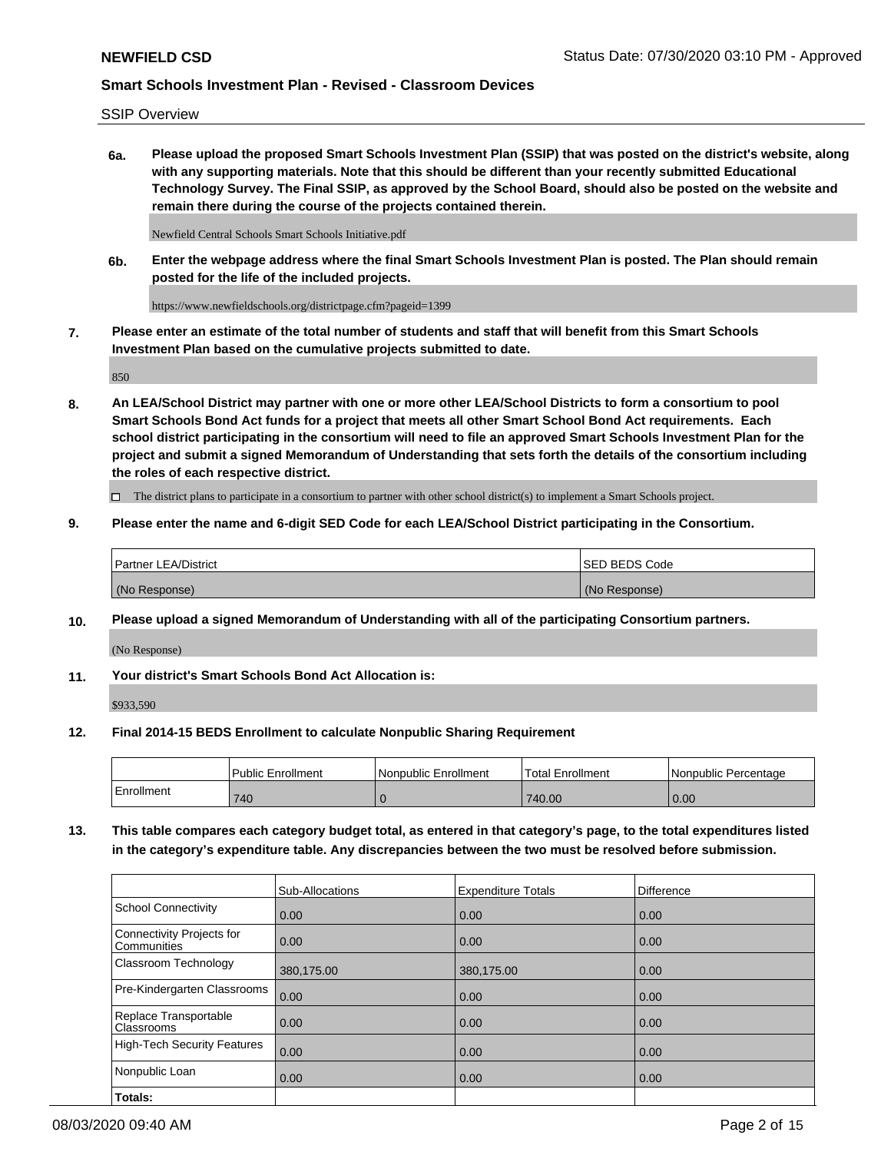SSIP Overview

**6a. Please upload the proposed Smart Schools Investment Plan (SSIP) that was posted on the district's website, along with any supporting materials. Note that this should be different than your recently submitted Educational Technology Survey. The Final SSIP, as approved by the School Board, should also be posted on the website and remain there during the course of the projects contained therein.**

Newfield Central Schools Smart Schools Initiative.pdf

**6b. Enter the webpage address where the final Smart Schools Investment Plan is posted. The Plan should remain posted for the life of the included projects.**

https://www.newfieldschools.org/districtpage.cfm?pageid=1399

**7. Please enter an estimate of the total number of students and staff that will benefit from this Smart Schools Investment Plan based on the cumulative projects submitted to date.**

850

**8. An LEA/School District may partner with one or more other LEA/School Districts to form a consortium to pool Smart Schools Bond Act funds for a project that meets all other Smart School Bond Act requirements. Each school district participating in the consortium will need to file an approved Smart Schools Investment Plan for the project and submit a signed Memorandum of Understanding that sets forth the details of the consortium including the roles of each respective district.**

 $\Box$  The district plans to participate in a consortium to partner with other school district(s) to implement a Smart Schools project.

### **9. Please enter the name and 6-digit SED Code for each LEA/School District participating in the Consortium.**

| Partner LEA/District | <b>ISED BEDS Code</b> |
|----------------------|-----------------------|
| (No Response)        | (No Response)         |

### **10. Please upload a signed Memorandum of Understanding with all of the participating Consortium partners.**

(No Response)

**11. Your district's Smart Schools Bond Act Allocation is:**

\$933,590

#### **12. Final 2014-15 BEDS Enrollment to calculate Nonpublic Sharing Requirement**

|            | Public Enrollment | Nonpublic Enrollment | Total Enrollment | I Nonpublic Percentage |
|------------|-------------------|----------------------|------------------|------------------------|
| Enrollment | 740               |                      | 740.00           | 0.00                   |

**13. This table compares each category budget total, as entered in that category's page, to the total expenditures listed in the category's expenditure table. Any discrepancies between the two must be resolved before submission.**

|                                          | Sub-Allocations | <b>Expenditure Totals</b> | <b>Difference</b> |
|------------------------------------------|-----------------|---------------------------|-------------------|
| <b>School Connectivity</b>               | 0.00            | 0.00                      | 0.00              |
| Connectivity Projects for<br>Communities | 0.00            | 0.00                      | 0.00              |
| Classroom Technology                     | 380,175.00      | 380,175.00                | 0.00              |
| Pre-Kindergarten Classrooms              | 0.00            | 0.00                      | 0.00              |
| Replace Transportable<br>Classrooms      | 0.00            | 0.00                      | 0.00              |
| High-Tech Security Features              | 0.00            | 0.00                      | 0.00              |
| Nonpublic Loan                           | 0.00            | 0.00                      | 0.00              |
| Totals:                                  |                 |                           |                   |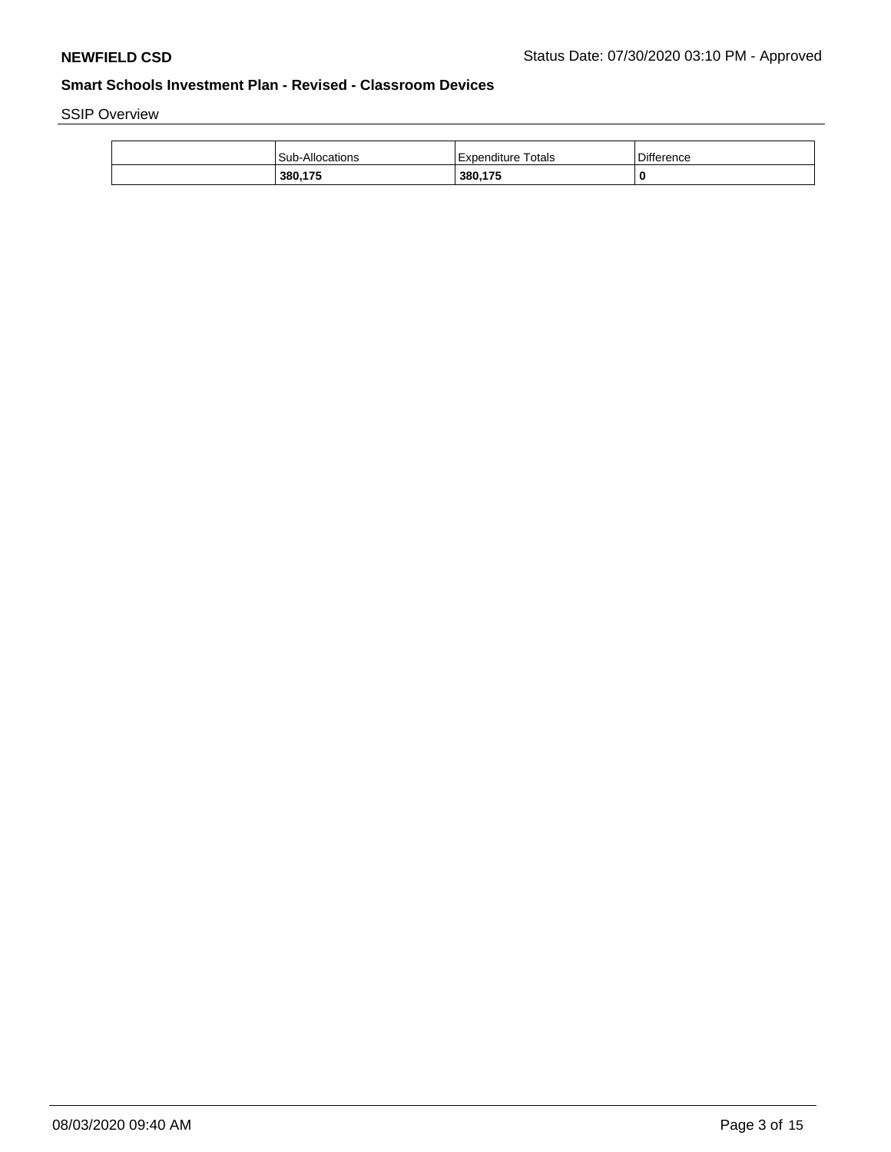SSIP Overview

| <b>Sub-Allocations</b> | Expenditure Totals | Difference |
|------------------------|--------------------|------------|
| 380,175                | 380,175            | 0          |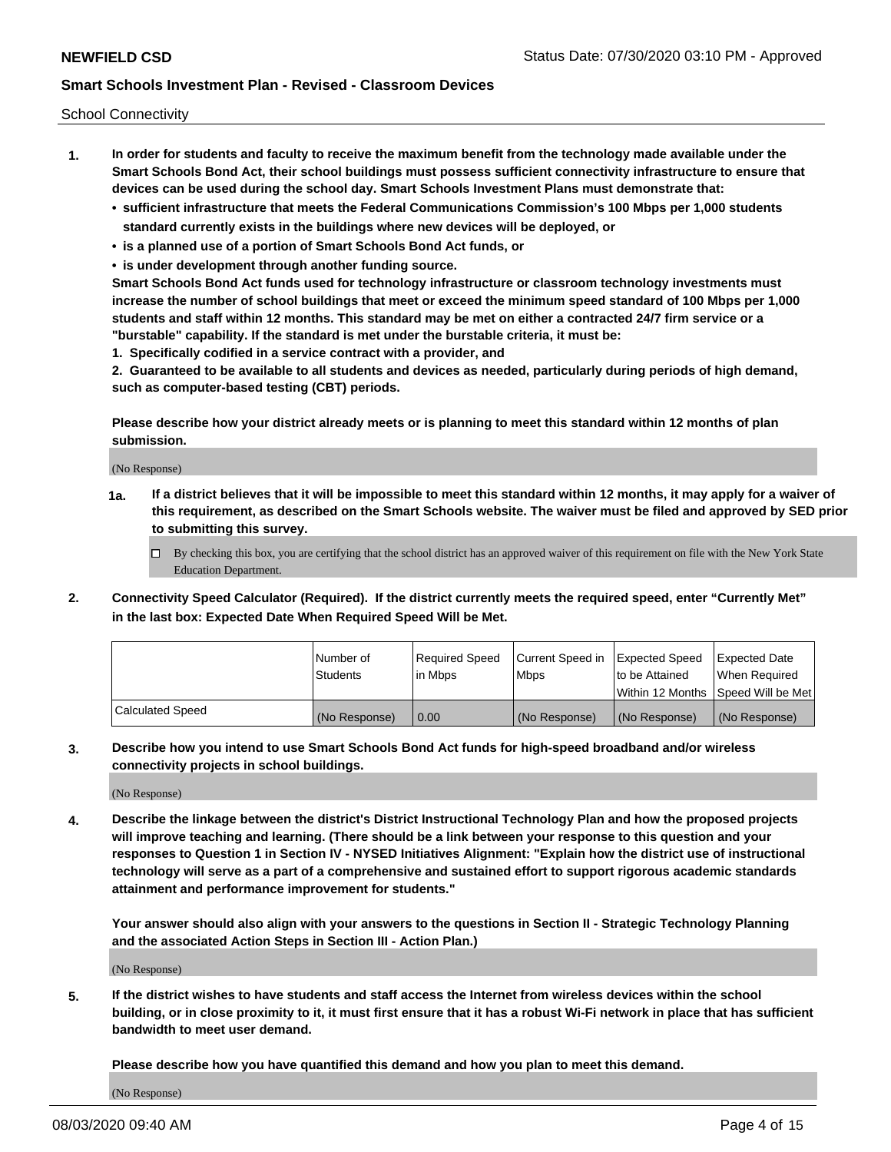School Connectivity

- **1. In order for students and faculty to receive the maximum benefit from the technology made available under the Smart Schools Bond Act, their school buildings must possess sufficient connectivity infrastructure to ensure that devices can be used during the school day. Smart Schools Investment Plans must demonstrate that:**
	- **• sufficient infrastructure that meets the Federal Communications Commission's 100 Mbps per 1,000 students standard currently exists in the buildings where new devices will be deployed, or**
	- **• is a planned use of a portion of Smart Schools Bond Act funds, or**
	- **• is under development through another funding source.**

**Smart Schools Bond Act funds used for technology infrastructure or classroom technology investments must increase the number of school buildings that meet or exceed the minimum speed standard of 100 Mbps per 1,000 students and staff within 12 months. This standard may be met on either a contracted 24/7 firm service or a "burstable" capability. If the standard is met under the burstable criteria, it must be:**

**1. Specifically codified in a service contract with a provider, and**

**2. Guaranteed to be available to all students and devices as needed, particularly during periods of high demand, such as computer-based testing (CBT) periods.**

**Please describe how your district already meets or is planning to meet this standard within 12 months of plan submission.**

(No Response)

**1a. If a district believes that it will be impossible to meet this standard within 12 months, it may apply for a waiver of this requirement, as described on the Smart Schools website. The waiver must be filed and approved by SED prior to submitting this survey.**

 $\Box$  By checking this box, you are certifying that the school district has an approved waiver of this requirement on file with the New York State Education Department.

**2. Connectivity Speed Calculator (Required). If the district currently meets the required speed, enter "Currently Met" in the last box: Expected Date When Required Speed Will be Met.**

|                  | l Number of     | Required Speed | Current Speed in | Expected Speed  | Expected Date                           |
|------------------|-----------------|----------------|------------------|-----------------|-----------------------------------------|
|                  | <b>Students</b> | In Mbps        | l Mbps           | to be Attained  | When Required                           |
|                  |                 |                |                  |                 | l Within 12 Months ISpeed Will be Met l |
| Calculated Speed | (No Response)   | 0.00           | (No Response)    | l (No Response) | l (No Response)                         |

**3. Describe how you intend to use Smart Schools Bond Act funds for high-speed broadband and/or wireless connectivity projects in school buildings.**

(No Response)

**4. Describe the linkage between the district's District Instructional Technology Plan and how the proposed projects will improve teaching and learning. (There should be a link between your response to this question and your responses to Question 1 in Section IV - NYSED Initiatives Alignment: "Explain how the district use of instructional technology will serve as a part of a comprehensive and sustained effort to support rigorous academic standards attainment and performance improvement for students."** 

**Your answer should also align with your answers to the questions in Section II - Strategic Technology Planning and the associated Action Steps in Section III - Action Plan.)**

(No Response)

**5. If the district wishes to have students and staff access the Internet from wireless devices within the school building, or in close proximity to it, it must first ensure that it has a robust Wi-Fi network in place that has sufficient bandwidth to meet user demand.**

**Please describe how you have quantified this demand and how you plan to meet this demand.**

(No Response)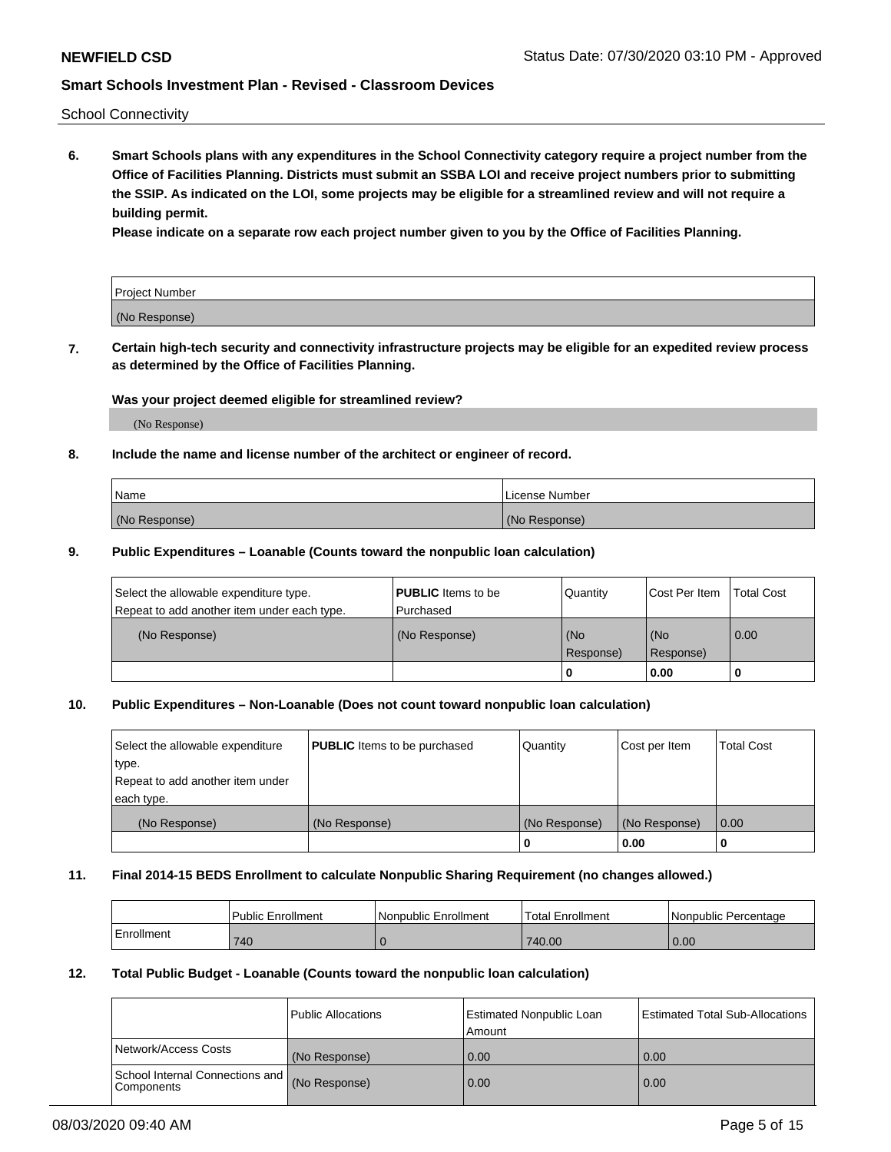School Connectivity

**6. Smart Schools plans with any expenditures in the School Connectivity category require a project number from the Office of Facilities Planning. Districts must submit an SSBA LOI and receive project numbers prior to submitting the SSIP. As indicated on the LOI, some projects may be eligible for a streamlined review and will not require a building permit.**

**Please indicate on a separate row each project number given to you by the Office of Facilities Planning.**

| Project Number |  |
|----------------|--|
| (No Response)  |  |

**7. Certain high-tech security and connectivity infrastructure projects may be eligible for an expedited review process as determined by the Office of Facilities Planning.**

### **Was your project deemed eligible for streamlined review?**

(No Response)

### **8. Include the name and license number of the architect or engineer of record.**

| Name          | License Number |
|---------------|----------------|
| (No Response) | (No Response)  |

### **9. Public Expenditures – Loanable (Counts toward the nonpublic loan calculation)**

| Select the allowable expenditure type.<br>Repeat to add another item under each type. | <b>PUBLIC</b> Items to be<br>l Purchased | Quantity           | Cost Per Item    | <b>Total Cost</b> |
|---------------------------------------------------------------------------------------|------------------------------------------|--------------------|------------------|-------------------|
| (No Response)                                                                         | (No Response)                            | l (No<br>Response) | (No<br>Response) | $\overline{0.00}$ |
|                                                                                       |                                          | O                  | 0.00             |                   |

## **10. Public Expenditures – Non-Loanable (Does not count toward nonpublic loan calculation)**

| Select the allowable expenditure<br>type.<br>Repeat to add another item under<br>each type. | <b>PUBLIC</b> Items to be purchased | Quantity      | Cost per Item | <b>Total Cost</b> |
|---------------------------------------------------------------------------------------------|-------------------------------------|---------------|---------------|-------------------|
| (No Response)                                                                               | (No Response)                       | (No Response) | (No Response) | 0.00              |
|                                                                                             |                                     |               | 0.00          |                   |

#### **11. Final 2014-15 BEDS Enrollment to calculate Nonpublic Sharing Requirement (no changes allowed.)**

|            | Public Enrollment | Nonpublic Enrollment | 'Total Enrollment | l Nonpublic Percentage |
|------------|-------------------|----------------------|-------------------|------------------------|
| Enrollment | 740               |                      | 740.00            | 0.00                   |

#### **12. Total Public Budget - Loanable (Counts toward the nonpublic loan calculation)**

|                                                      | Public Allocations | <b>Estimated Nonpublic Loan</b><br>Amount | Estimated Total Sub-Allocations |
|------------------------------------------------------|--------------------|-------------------------------------------|---------------------------------|
| Network/Access Costs                                 | (No Response)      | 0.00                                      | 0.00                            |
| School Internal Connections and<br><b>Components</b> | (No Response)      | 0.00                                      | 0.00                            |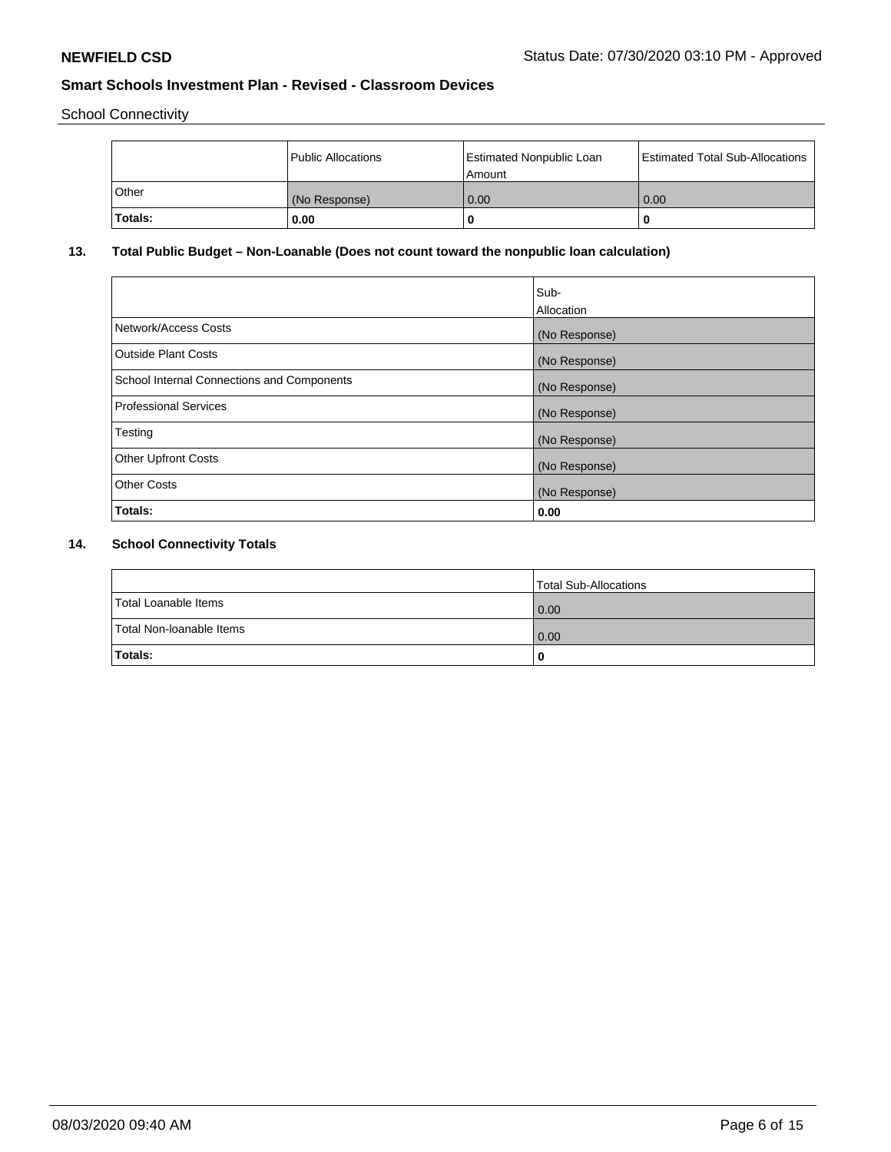School Connectivity

|         | <b>Public Allocations</b> | <b>Estimated Nonpublic Loan</b><br>Amount | <b>Estimated Total Sub-Allocations</b> |
|---------|---------------------------|-------------------------------------------|----------------------------------------|
| Other   | (No Response)             | 0.00                                      | 0.00                                   |
| Totals: | 0.00                      | 0                                         | o                                      |

# **13. Total Public Budget – Non-Loanable (Does not count toward the nonpublic loan calculation)**

|                                                   | Sub-<br>Allocation |
|---------------------------------------------------|--------------------|
| Network/Access Costs                              | (No Response)      |
| Outside Plant Costs                               | (No Response)      |
| <b>School Internal Connections and Components</b> | (No Response)      |
| Professional Services                             | (No Response)      |
| Testing                                           | (No Response)      |
| <b>Other Upfront Costs</b>                        | (No Response)      |
| <b>Other Costs</b>                                | (No Response)      |
| Totals:                                           | 0.00               |

# **14. School Connectivity Totals**

|                          | Total Sub-Allocations |
|--------------------------|-----------------------|
| Total Loanable Items     | 0.00                  |
| Total Non-Ioanable Items | 0.00                  |
| Totals:                  | 0                     |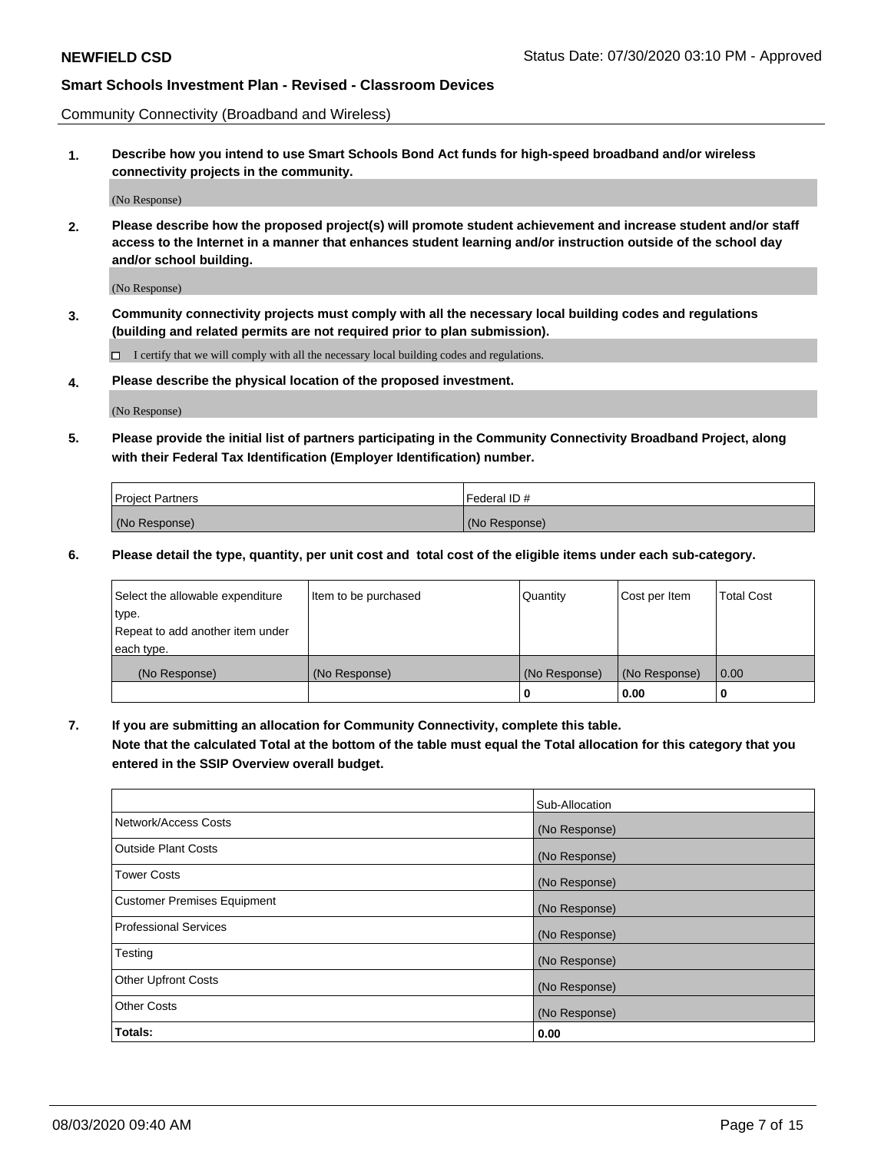Community Connectivity (Broadband and Wireless)

**1. Describe how you intend to use Smart Schools Bond Act funds for high-speed broadband and/or wireless connectivity projects in the community.**

(No Response)

**2. Please describe how the proposed project(s) will promote student achievement and increase student and/or staff access to the Internet in a manner that enhances student learning and/or instruction outside of the school day and/or school building.**

(No Response)

**3. Community connectivity projects must comply with all the necessary local building codes and regulations (building and related permits are not required prior to plan submission).**

 $\Box$  I certify that we will comply with all the necessary local building codes and regulations.

**4. Please describe the physical location of the proposed investment.**

(No Response)

**5. Please provide the initial list of partners participating in the Community Connectivity Broadband Project, along with their Federal Tax Identification (Employer Identification) number.**

| <b>Project Partners</b> | l Federal ID # |
|-------------------------|----------------|
| (No Response)           | (No Response)  |

**6. Please detail the type, quantity, per unit cost and total cost of the eligible items under each sub-category.**

| Select the allowable expenditure | Item to be purchased | Quantity      | Cost per Item | <b>Total Cost</b> |
|----------------------------------|----------------------|---------------|---------------|-------------------|
| type.                            |                      |               |               |                   |
| Repeat to add another item under |                      |               |               |                   |
| each type.                       |                      |               |               |                   |
| (No Response)                    | (No Response)        | (No Response) | (No Response) | 0.00              |
|                                  |                      | o             | 0.00          |                   |

**7. If you are submitting an allocation for Community Connectivity, complete this table.**

**Note that the calculated Total at the bottom of the table must equal the Total allocation for this category that you entered in the SSIP Overview overall budget.**

|                                    | Sub-Allocation |
|------------------------------------|----------------|
| Network/Access Costs               | (No Response)  |
| Outside Plant Costs                | (No Response)  |
| <b>Tower Costs</b>                 | (No Response)  |
| <b>Customer Premises Equipment</b> | (No Response)  |
| <b>Professional Services</b>       | (No Response)  |
| Testing                            | (No Response)  |
| <b>Other Upfront Costs</b>         | (No Response)  |
| <b>Other Costs</b>                 | (No Response)  |
| Totals:                            | 0.00           |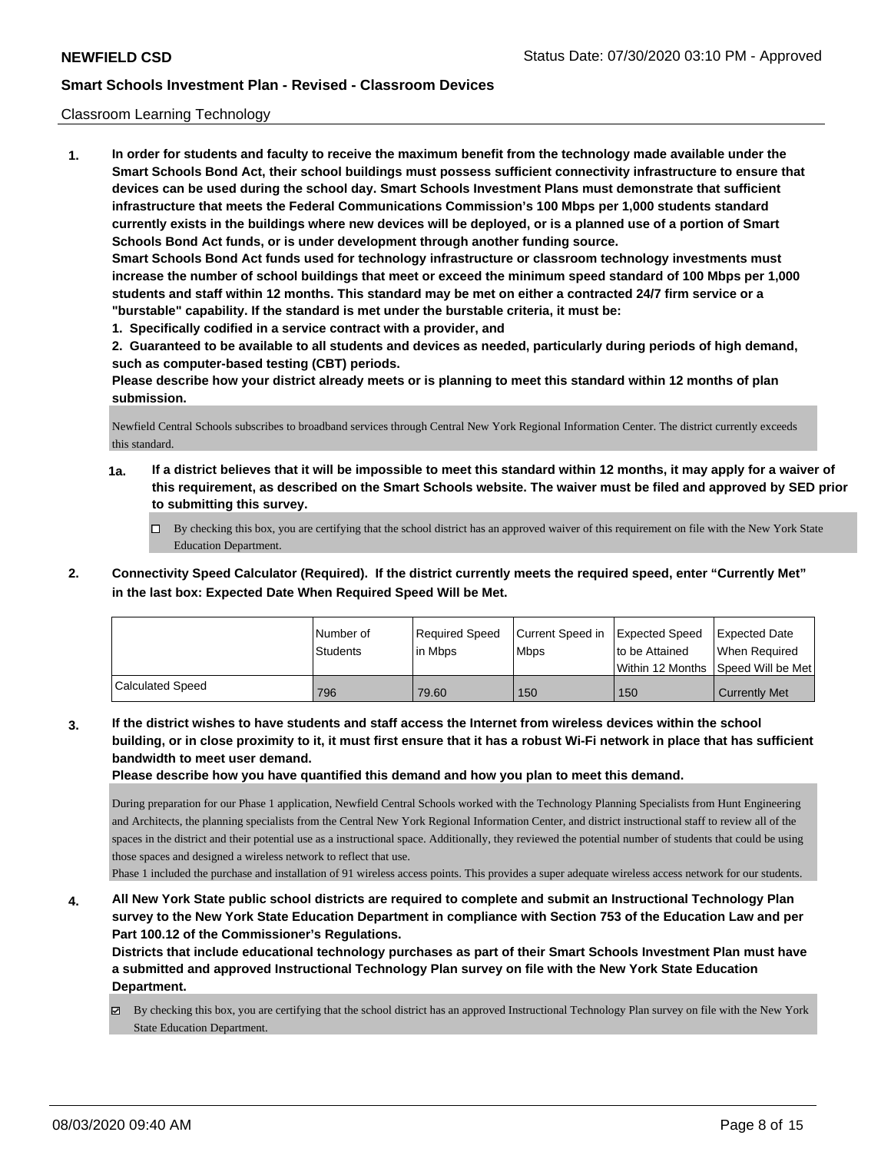### Classroom Learning Technology

**1. In order for students and faculty to receive the maximum benefit from the technology made available under the Smart Schools Bond Act, their school buildings must possess sufficient connectivity infrastructure to ensure that devices can be used during the school day. Smart Schools Investment Plans must demonstrate that sufficient infrastructure that meets the Federal Communications Commission's 100 Mbps per 1,000 students standard currently exists in the buildings where new devices will be deployed, or is a planned use of a portion of Smart Schools Bond Act funds, or is under development through another funding source. Smart Schools Bond Act funds used for technology infrastructure or classroom technology investments must increase the number of school buildings that meet or exceed the minimum speed standard of 100 Mbps per 1,000 students and staff within 12 months. This standard may be met on either a contracted 24/7 firm service or a "burstable" capability. If the standard is met under the burstable criteria, it must be:**

**1. Specifically codified in a service contract with a provider, and**

**2. Guaranteed to be available to all students and devices as needed, particularly during periods of high demand, such as computer-based testing (CBT) periods.**

**Please describe how your district already meets or is planning to meet this standard within 12 months of plan submission.**

Newfield Central Schools subscribes to broadband services through Central New York Regional Information Center. The district currently exceeds this standard.

- **1a. If a district believes that it will be impossible to meet this standard within 12 months, it may apply for a waiver of this requirement, as described on the Smart Schools website. The waiver must be filed and approved by SED prior to submitting this survey.**
	- By checking this box, you are certifying that the school district has an approved waiver of this requirement on file with the New York State Education Department.
- **2. Connectivity Speed Calculator (Required). If the district currently meets the required speed, enter "Currently Met" in the last box: Expected Date When Required Speed Will be Met.**

|                         | l Number of<br><b>Students</b> | Required Speed<br>l in Mbps | Current Speed in<br><b>Mbps</b> | <b>Expected Speed</b><br>to be Attained | <b>Expected Date</b><br>When Required<br> Within 12 Months  Speed Will be Met |
|-------------------------|--------------------------------|-----------------------------|---------------------------------|-----------------------------------------|-------------------------------------------------------------------------------|
| <b>Calculated Speed</b> | 796                            | 79.60                       | 150                             | 150                                     | <b>Currently Met</b>                                                          |

**3. If the district wishes to have students and staff access the Internet from wireless devices within the school building, or in close proximity to it, it must first ensure that it has a robust Wi-Fi network in place that has sufficient bandwidth to meet user demand.**

**Please describe how you have quantified this demand and how you plan to meet this demand.**

During preparation for our Phase 1 application, Newfield Central Schools worked with the Technology Planning Specialists from Hunt Engineering and Architects, the planning specialists from the Central New York Regional Information Center, and district instructional staff to review all of the spaces in the district and their potential use as a instructional space. Additionally, they reviewed the potential number of students that could be using those spaces and designed a wireless network to reflect that use.

Phase 1 included the purchase and installation of 91 wireless access points. This provides a super adequate wireless access network for our students.

**4. All New York State public school districts are required to complete and submit an Instructional Technology Plan survey to the New York State Education Department in compliance with Section 753 of the Education Law and per Part 100.12 of the Commissioner's Regulations.**

**Districts that include educational technology purchases as part of their Smart Schools Investment Plan must have a submitted and approved Instructional Technology Plan survey on file with the New York State Education Department.**

 $\boxtimes$  By checking this box, you are certifying that the school district has an approved Instructional Technology Plan survey on file with the New York State Education Department.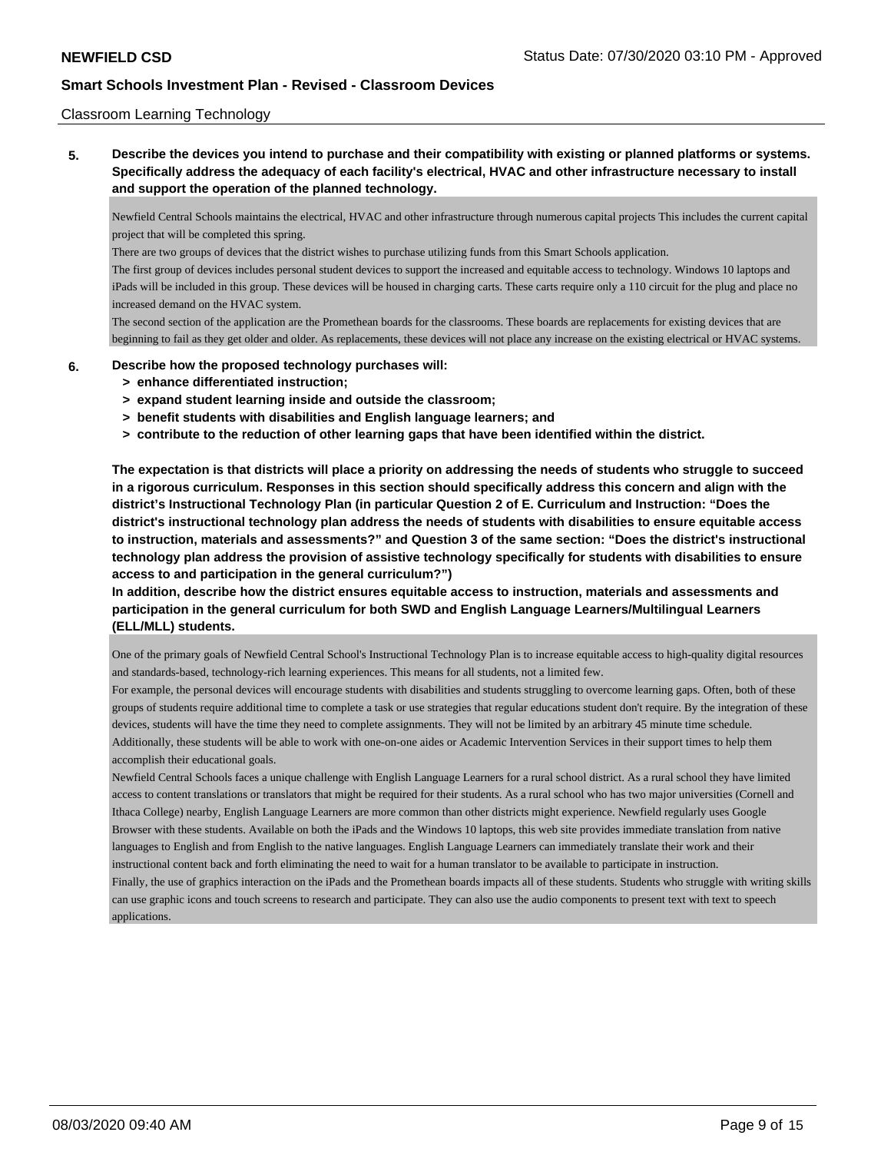### Classroom Learning Technology

**5. Describe the devices you intend to purchase and their compatibility with existing or planned platforms or systems. Specifically address the adequacy of each facility's electrical, HVAC and other infrastructure necessary to install and support the operation of the planned technology.**

Newfield Central Schools maintains the electrical, HVAC and other infrastructure through numerous capital projects This includes the current capital project that will be completed this spring.

There are two groups of devices that the district wishes to purchase utilizing funds from this Smart Schools application.

The first group of devices includes personal student devices to support the increased and equitable access to technology. Windows 10 laptops and iPads will be included in this group. These devices will be housed in charging carts. These carts require only a 110 circuit for the plug and place no increased demand on the HVAC system.

The second section of the application are the Promethean boards for the classrooms. These boards are replacements for existing devices that are beginning to fail as they get older and older. As replacements, these devices will not place any increase on the existing electrical or HVAC systems.

#### **6. Describe how the proposed technology purchases will:**

- **> enhance differentiated instruction;**
- **> expand student learning inside and outside the classroom;**
- **> benefit students with disabilities and English language learners; and**
- **> contribute to the reduction of other learning gaps that have been identified within the district.**

**The expectation is that districts will place a priority on addressing the needs of students who struggle to succeed in a rigorous curriculum. Responses in this section should specifically address this concern and align with the district's Instructional Technology Plan (in particular Question 2 of E. Curriculum and Instruction: "Does the district's instructional technology plan address the needs of students with disabilities to ensure equitable access to instruction, materials and assessments?" and Question 3 of the same section: "Does the district's instructional technology plan address the provision of assistive technology specifically for students with disabilities to ensure access to and participation in the general curriculum?")**

**In addition, describe how the district ensures equitable access to instruction, materials and assessments and participation in the general curriculum for both SWD and English Language Learners/Multilingual Learners (ELL/MLL) students.**

One of the primary goals of Newfield Central School's Instructional Technology Plan is to increase equitable access to high-quality digital resources and standards-based, technology-rich learning experiences. This means for all students, not a limited few.

For example, the personal devices will encourage students with disabilities and students struggling to overcome learning gaps. Often, both of these groups of students require additional time to complete a task or use strategies that regular educations student don't require. By the integration of these devices, students will have the time they need to complete assignments. They will not be limited by an arbitrary 45 minute time schedule. Additionally, these students will be able to work with one-on-one aides or Academic Intervention Services in their support times to help them accomplish their educational goals.

Newfield Central Schools faces a unique challenge with English Language Learners for a rural school district. As a rural school they have limited access to content translations or translators that might be required for their students. As a rural school who has two major universities (Cornell and Ithaca College) nearby, English Language Learners are more common than other districts might experience. Newfield regularly uses Google Browser with these students. Available on both the iPads and the Windows 10 laptops, this web site provides immediate translation from native languages to English and from English to the native languages. English Language Learners can immediately translate their work and their instructional content back and forth eliminating the need to wait for a human translator to be available to participate in instruction.

Finally, the use of graphics interaction on the iPads and the Promethean boards impacts all of these students. Students who struggle with writing skills can use graphic icons and touch screens to research and participate. They can also use the audio components to present text with text to speech applications.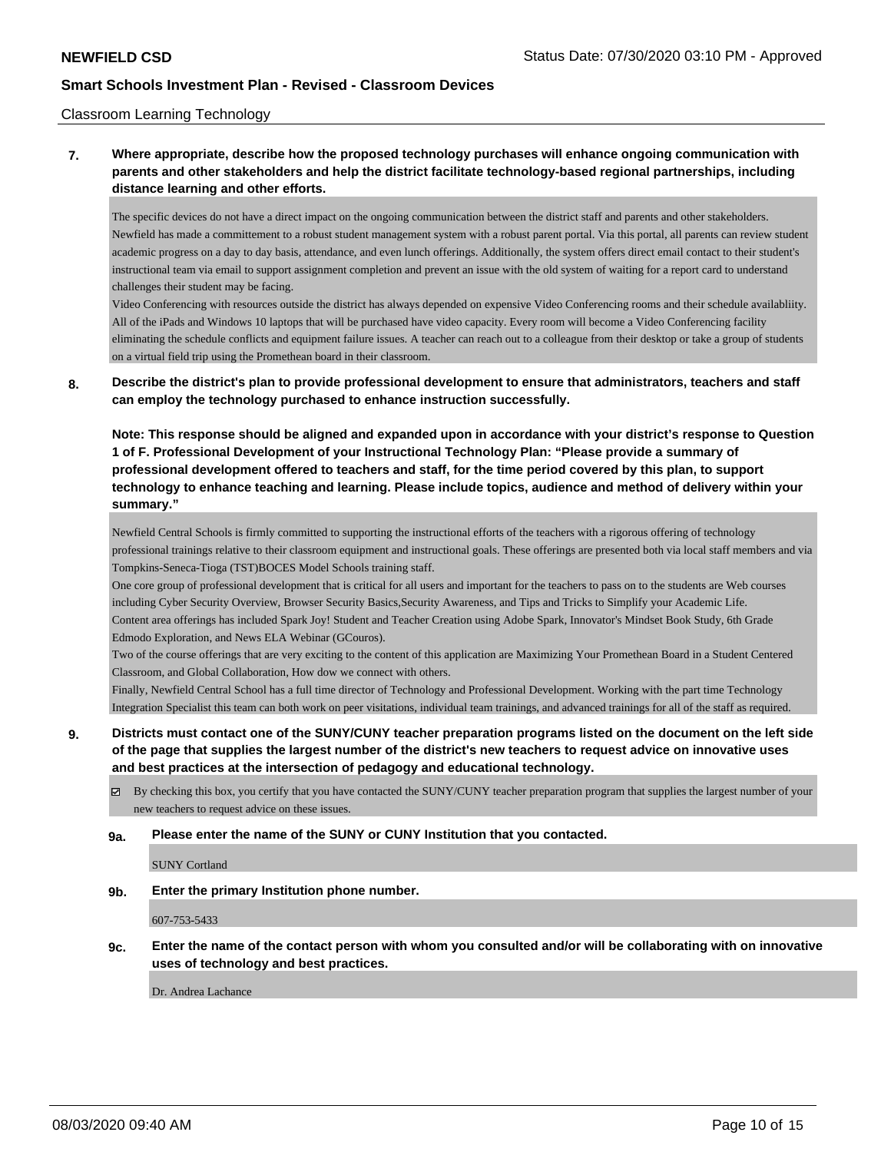### Classroom Learning Technology

# **7. Where appropriate, describe how the proposed technology purchases will enhance ongoing communication with parents and other stakeholders and help the district facilitate technology-based regional partnerships, including distance learning and other efforts.**

The specific devices do not have a direct impact on the ongoing communication between the district staff and parents and other stakeholders. Newfield has made a committement to a robust student management system with a robust parent portal. Via this portal, all parents can review student academic progress on a day to day basis, attendance, and even lunch offerings. Additionally, the system offers direct email contact to their student's instructional team via email to support assignment completion and prevent an issue with the old system of waiting for a report card to understand challenges their student may be facing.

Video Conferencing with resources outside the district has always depended on expensive Video Conferencing rooms and their schedule availabliity. All of the iPads and Windows 10 laptops that will be purchased have video capacity. Every room will become a Video Conferencing facility eliminating the schedule conflicts and equipment failure issues. A teacher can reach out to a colleague from their desktop or take a group of students on a virtual field trip using the Promethean board in their classroom.

### **8. Describe the district's plan to provide professional development to ensure that administrators, teachers and staff can employ the technology purchased to enhance instruction successfully.**

**Note: This response should be aligned and expanded upon in accordance with your district's response to Question 1 of F. Professional Development of your Instructional Technology Plan: "Please provide a summary of professional development offered to teachers and staff, for the time period covered by this plan, to support technology to enhance teaching and learning. Please include topics, audience and method of delivery within your summary."**

Newfield Central Schools is firmly committed to supporting the instructional efforts of the teachers with a rigorous offering of technology professional trainings relative to their classroom equipment and instructional goals. These offerings are presented both via local staff members and via Tompkins-Seneca-Tioga (TST)BOCES Model Schools training staff.

One core group of professional development that is critical for all users and important for the teachers to pass on to the students are Web courses including Cyber Security Overview, Browser Security Basics,Security Awareness, and Tips and Tricks to Simplify your Academic Life. Content area offerings has included Spark Joy! Student and Teacher Creation using Adobe Spark, Innovator's Mindset Book Study, 6th Grade Edmodo Exploration, and News ELA Webinar (GCouros).

Two of the course offerings that are very exciting to the content of this application are Maximizing Your Promethean Board in a Student Centered Classroom, and Global Collaboration, How dow we connect with others.

Finally, Newfield Central School has a full time director of Technology and Professional Development. Working with the part time Technology Integration Specialist this team can both work on peer visitations, individual team trainings, and advanced trainings for all of the staff as required.

# **9. Districts must contact one of the SUNY/CUNY teacher preparation programs listed on the document on the left side of the page that supplies the largest number of the district's new teachers to request advice on innovative uses and best practices at the intersection of pedagogy and educational technology.**

- $\boxtimes$  By checking this box, you certify that you have contacted the SUNY/CUNY teacher preparation program that supplies the largest number of your new teachers to request advice on these issues.
- **9a. Please enter the name of the SUNY or CUNY Institution that you contacted.**

SUNY Cortland

**9b. Enter the primary Institution phone number.**

607-753-5433

**9c. Enter the name of the contact person with whom you consulted and/or will be collaborating with on innovative uses of technology and best practices.**

Dr. Andrea Lachance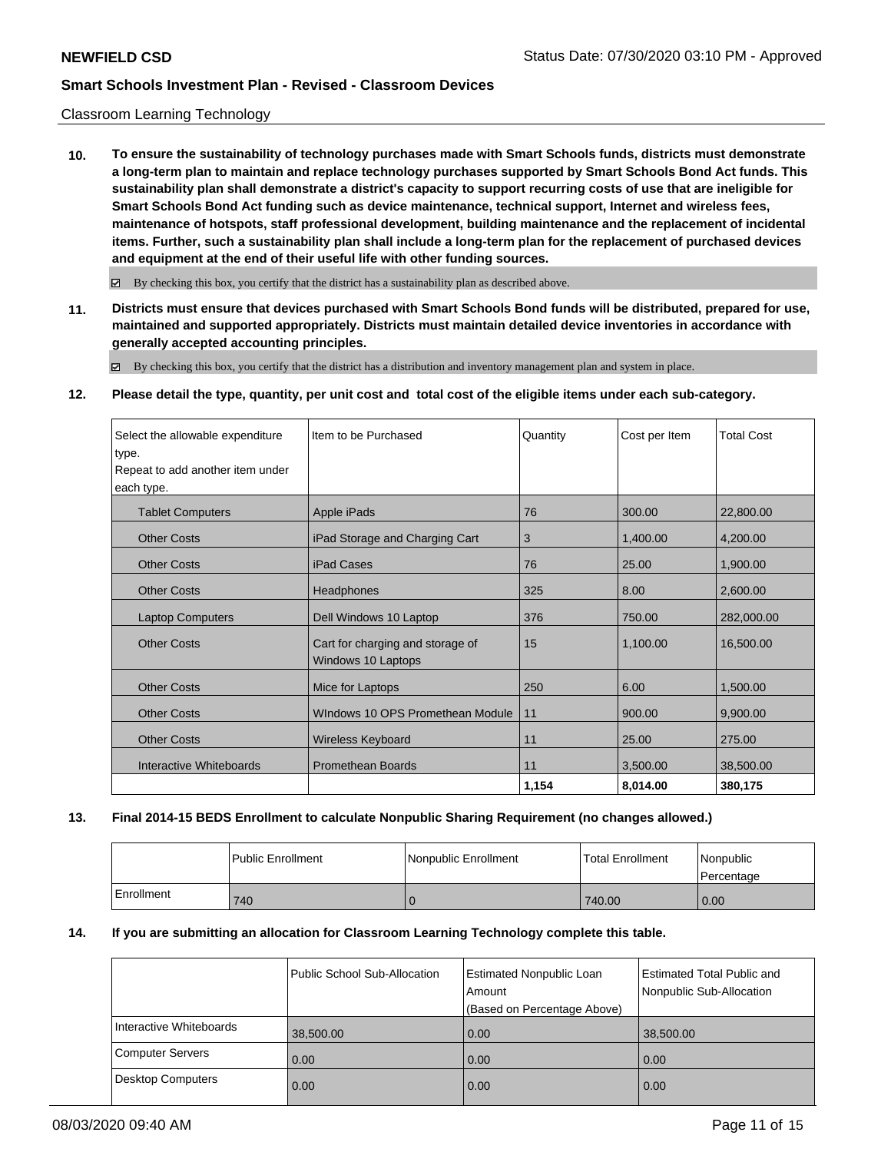### Classroom Learning Technology

**10. To ensure the sustainability of technology purchases made with Smart Schools funds, districts must demonstrate a long-term plan to maintain and replace technology purchases supported by Smart Schools Bond Act funds. This sustainability plan shall demonstrate a district's capacity to support recurring costs of use that are ineligible for Smart Schools Bond Act funding such as device maintenance, technical support, Internet and wireless fees, maintenance of hotspots, staff professional development, building maintenance and the replacement of incidental items. Further, such a sustainability plan shall include a long-term plan for the replacement of purchased devices and equipment at the end of their useful life with other funding sources.**

 $\boxtimes$  By checking this box, you certify that the district has a sustainability plan as described above.

**11. Districts must ensure that devices purchased with Smart Schools Bond funds will be distributed, prepared for use, maintained and supported appropriately. Districts must maintain detailed device inventories in accordance with generally accepted accounting principles.**

By checking this box, you certify that the district has a distribution and inventory management plan and system in place.

#### **12. Please detail the type, quantity, per unit cost and total cost of the eligible items under each sub-category.**

| Select the allowable expenditure<br>type.<br>Repeat to add another item under<br>each type. | Item to be Purchased                                   | Quantity | Cost per Item | <b>Total Cost</b> |
|---------------------------------------------------------------------------------------------|--------------------------------------------------------|----------|---------------|-------------------|
| <b>Tablet Computers</b>                                                                     | Apple iPads                                            | 76       | 300.00        | 22,800.00         |
| <b>Other Costs</b>                                                                          | iPad Storage and Charging Cart                         | 3        | 1,400.00      | 4,200.00          |
| <b>Other Costs</b>                                                                          | <b>iPad Cases</b>                                      | 76       | 25.00         | 1,900.00          |
| <b>Other Costs</b>                                                                          | Headphones                                             | 325      | 8.00          | 2,600.00          |
| <b>Laptop Computers</b>                                                                     | Dell Windows 10 Laptop                                 | 376      | 750.00        | 282,000.00        |
| <b>Other Costs</b>                                                                          | Cart for charging and storage of<br>Windows 10 Laptops | 15       | 1,100.00      | 16,500.00         |
| <b>Other Costs</b>                                                                          | Mice for Laptops                                       | 250      | 6.00          | 1,500.00          |
| <b>Other Costs</b>                                                                          | Windows 10 OPS Promethean Module                       | 11       | 900.00        | 9,900.00          |
| <b>Other Costs</b>                                                                          | Wireless Keyboard                                      | 11       | 25.00         | 275.00            |
| Interactive Whiteboards                                                                     | <b>Promethean Boards</b>                               | 11       | 3,500.00      | 38,500.00         |
|                                                                                             |                                                        | 1,154    | 8,014.00      | 380,175           |

#### **13. Final 2014-15 BEDS Enrollment to calculate Nonpublic Sharing Requirement (no changes allowed.)**

|            | Public Enrollment | <b>Nonpublic Enrollment</b> | <b>Total Enrollment</b> | l Nonpublic<br>l Percentage |
|------------|-------------------|-----------------------------|-------------------------|-----------------------------|
| Enrollment | 740               |                             | 740.00                  | 0.00                        |

#### **14. If you are submitting an allocation for Classroom Learning Technology complete this table.**

|                         | <b>Public School Sub-Allocation</b> | <b>Estimated Nonpublic Loan</b><br>Amount<br>(Based on Percentage Above) | <b>Estimated Total Public and</b><br>Nonpublic Sub-Allocation |
|-------------------------|-------------------------------------|--------------------------------------------------------------------------|---------------------------------------------------------------|
| Interactive Whiteboards | 38,500.00                           | 0.00                                                                     | 38,500.00                                                     |
| Computer Servers        | 0.00                                | 0.00                                                                     | 0.00                                                          |
| Desktop Computers       | 0.00                                | 0.00                                                                     | 0.00                                                          |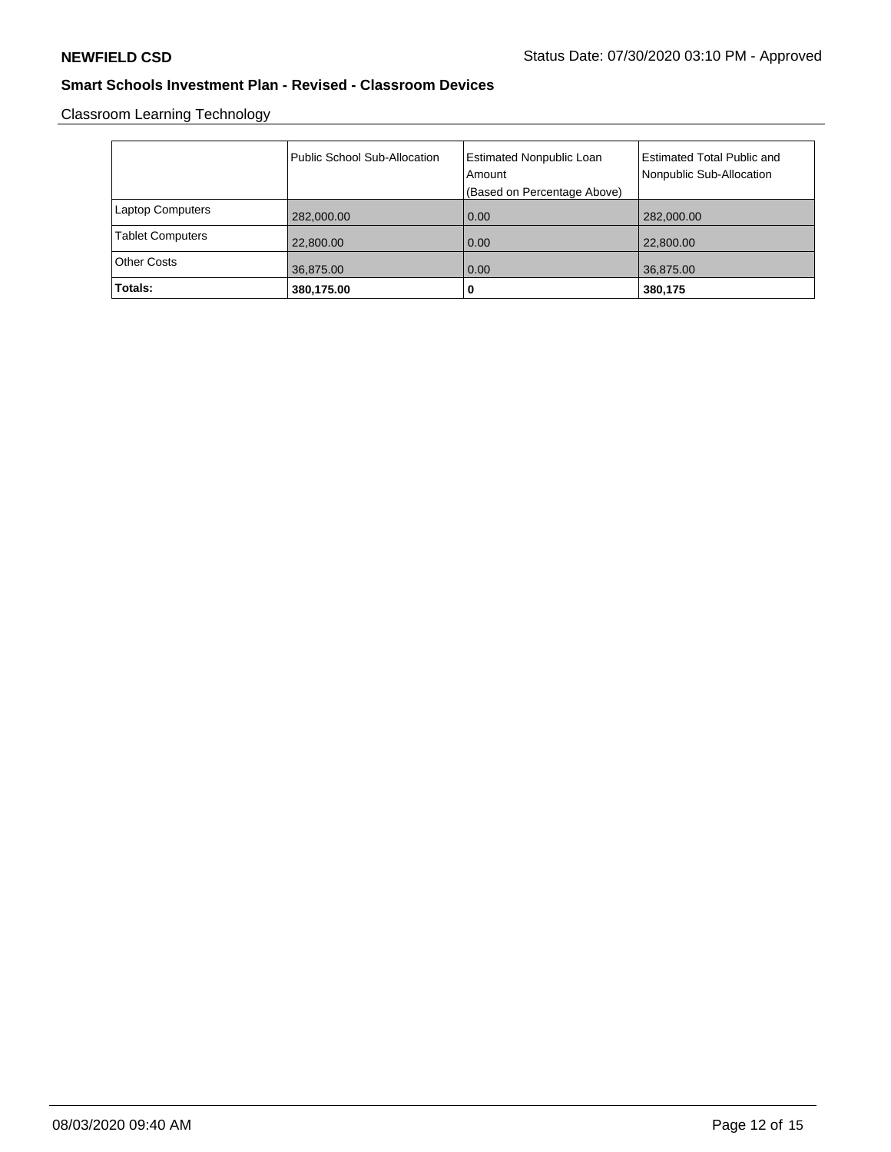Classroom Learning Technology

|                         | Public School Sub-Allocation | Estimated Nonpublic Loan<br>Amount<br>(Based on Percentage Above) | <b>Estimated Total Public and</b><br>Nonpublic Sub-Allocation |
|-------------------------|------------------------------|-------------------------------------------------------------------|---------------------------------------------------------------|
| <b>Laptop Computers</b> | 282,000.00                   | 0.00                                                              | 282,000.00                                                    |
| <b>Tablet Computers</b> | 22,800.00                    | 0.00                                                              | 22,800.00                                                     |
| <b>Other Costs</b>      | 36,875.00                    | 0.00                                                              | 36,875.00                                                     |
| Totals:                 | 380,175.00                   | υ                                                                 | 380,175                                                       |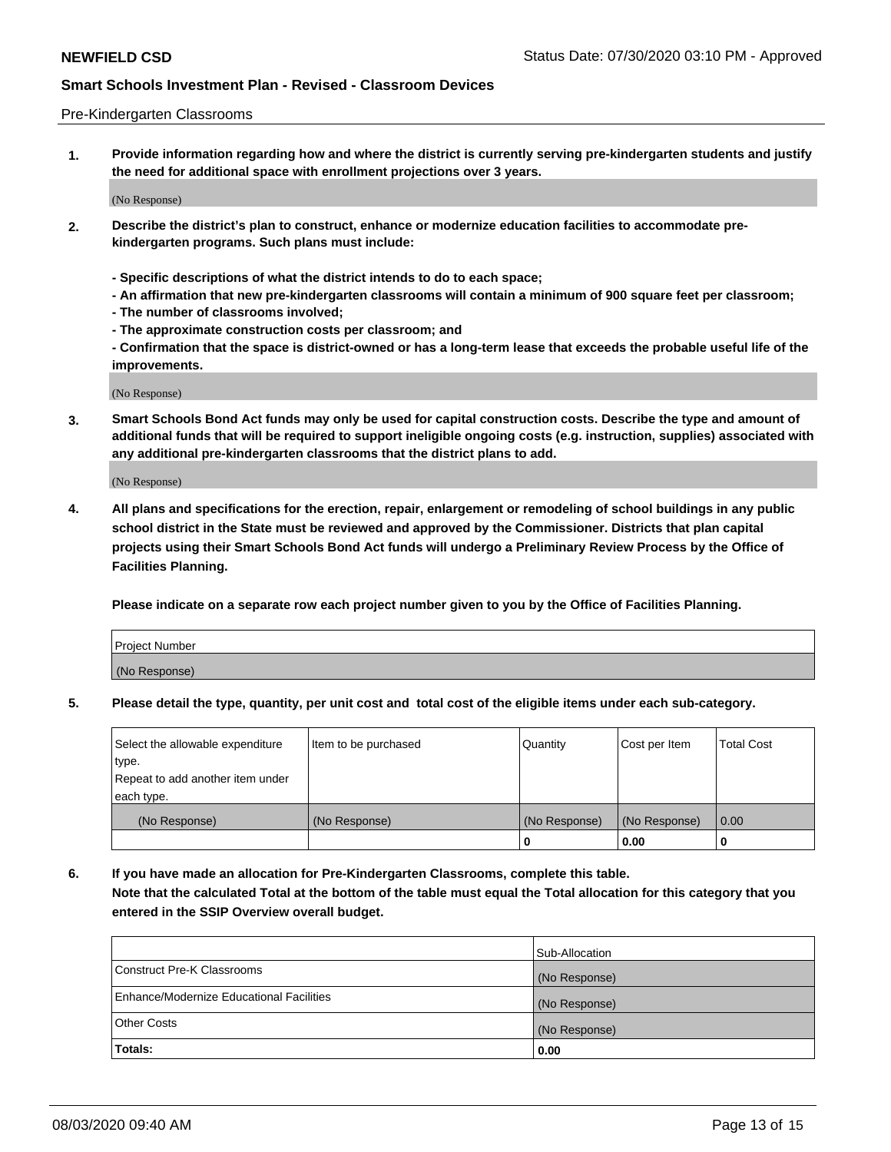#### Pre-Kindergarten Classrooms

**1. Provide information regarding how and where the district is currently serving pre-kindergarten students and justify the need for additional space with enrollment projections over 3 years.**

(No Response)

- **2. Describe the district's plan to construct, enhance or modernize education facilities to accommodate prekindergarten programs. Such plans must include:**
	- **Specific descriptions of what the district intends to do to each space;**
	- **An affirmation that new pre-kindergarten classrooms will contain a minimum of 900 square feet per classroom;**
	- **The number of classrooms involved;**
	- **The approximate construction costs per classroom; and**
	- **Confirmation that the space is district-owned or has a long-term lease that exceeds the probable useful life of the improvements.**

(No Response)

**3. Smart Schools Bond Act funds may only be used for capital construction costs. Describe the type and amount of additional funds that will be required to support ineligible ongoing costs (e.g. instruction, supplies) associated with any additional pre-kindergarten classrooms that the district plans to add.**

(No Response)

**4. All plans and specifications for the erection, repair, enlargement or remodeling of school buildings in any public school district in the State must be reviewed and approved by the Commissioner. Districts that plan capital projects using their Smart Schools Bond Act funds will undergo a Preliminary Review Process by the Office of Facilities Planning.**

**Please indicate on a separate row each project number given to you by the Office of Facilities Planning.**

| Project Number |  |
|----------------|--|
| (No Response)  |  |
|                |  |

**5. Please detail the type, quantity, per unit cost and total cost of the eligible items under each sub-category.**

| Select the allowable expenditure | Item to be purchased | Quantity      | Cost per Item | <b>Total Cost</b> |
|----------------------------------|----------------------|---------------|---------------|-------------------|
| 'type.                           |                      |               |               |                   |
| Repeat to add another item under |                      |               |               |                   |
| each type.                       |                      |               |               |                   |
| (No Response)                    | (No Response)        | (No Response) | (No Response) | 0.00              |
|                                  |                      | U             | 0.00          |                   |

**6. If you have made an allocation for Pre-Kindergarten Classrooms, complete this table. Note that the calculated Total at the bottom of the table must equal the Total allocation for this category that you entered in the SSIP Overview overall budget.**

|                                          | Sub-Allocation |
|------------------------------------------|----------------|
| Construct Pre-K Classrooms               | (No Response)  |
| Enhance/Modernize Educational Facilities | (No Response)  |
| <b>Other Costs</b>                       | (No Response)  |
| Totals:                                  | 0.00           |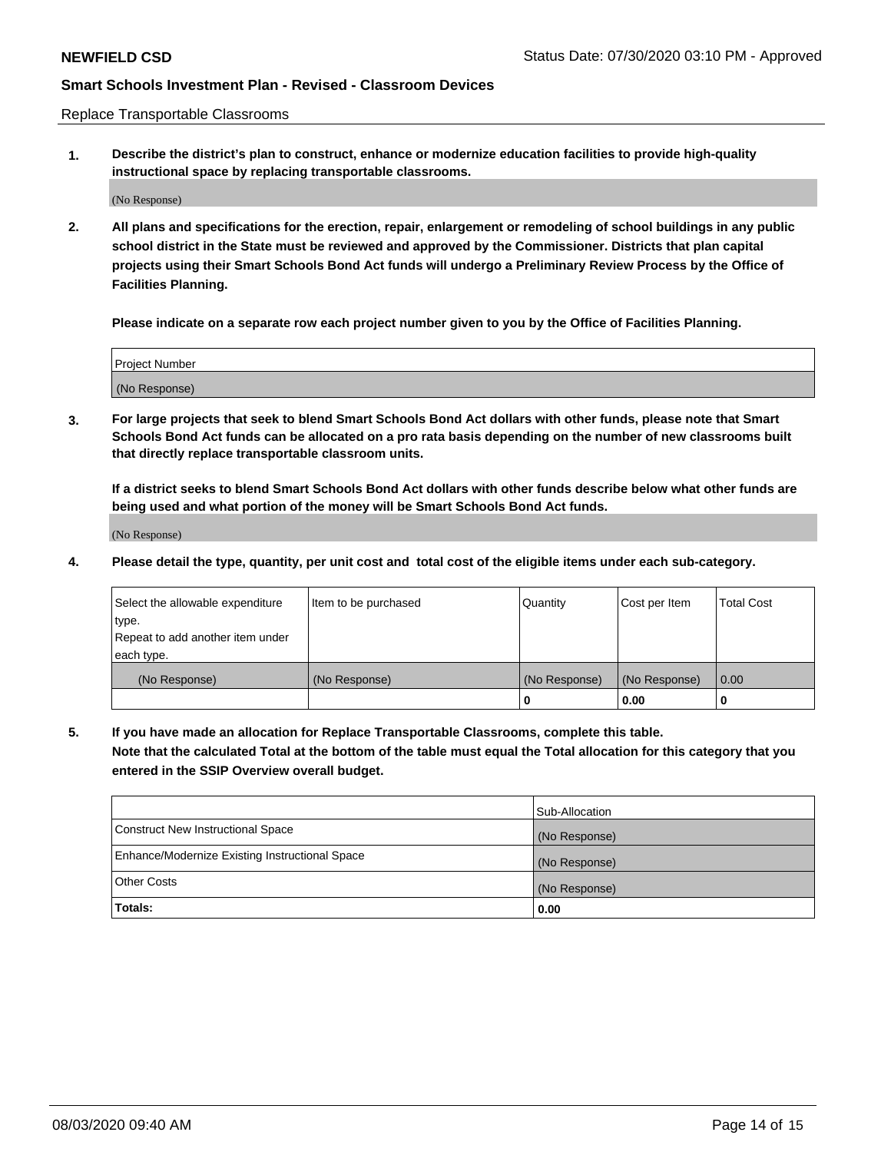Replace Transportable Classrooms

**1. Describe the district's plan to construct, enhance or modernize education facilities to provide high-quality instructional space by replacing transportable classrooms.**

(No Response)

**2. All plans and specifications for the erection, repair, enlargement or remodeling of school buildings in any public school district in the State must be reviewed and approved by the Commissioner. Districts that plan capital projects using their Smart Schools Bond Act funds will undergo a Preliminary Review Process by the Office of Facilities Planning.**

**Please indicate on a separate row each project number given to you by the Office of Facilities Planning.**

| Project Number |  |
|----------------|--|
|                |  |
|                |  |
|                |  |
| (No Response)  |  |
|                |  |
|                |  |

**3. For large projects that seek to blend Smart Schools Bond Act dollars with other funds, please note that Smart Schools Bond Act funds can be allocated on a pro rata basis depending on the number of new classrooms built that directly replace transportable classroom units.**

**If a district seeks to blend Smart Schools Bond Act dollars with other funds describe below what other funds are being used and what portion of the money will be Smart Schools Bond Act funds.**

(No Response)

**4. Please detail the type, quantity, per unit cost and total cost of the eligible items under each sub-category.**

| Select the allowable expenditure | Item to be purchased | Quantity      | Cost per Item | Total Cost |
|----------------------------------|----------------------|---------------|---------------|------------|
| ∣type.                           |                      |               |               |            |
| Repeat to add another item under |                      |               |               |            |
| each type.                       |                      |               |               |            |
| (No Response)                    | (No Response)        | (No Response) | (No Response) | 0.00       |
|                                  |                      | u             | 0.00          |            |

**5. If you have made an allocation for Replace Transportable Classrooms, complete this table. Note that the calculated Total at the bottom of the table must equal the Total allocation for this category that you entered in the SSIP Overview overall budget.**

|                                                | Sub-Allocation |
|------------------------------------------------|----------------|
| Construct New Instructional Space              | (No Response)  |
| Enhance/Modernize Existing Instructional Space | (No Response)  |
| Other Costs                                    | (No Response)  |
| Totals:                                        | 0.00           |